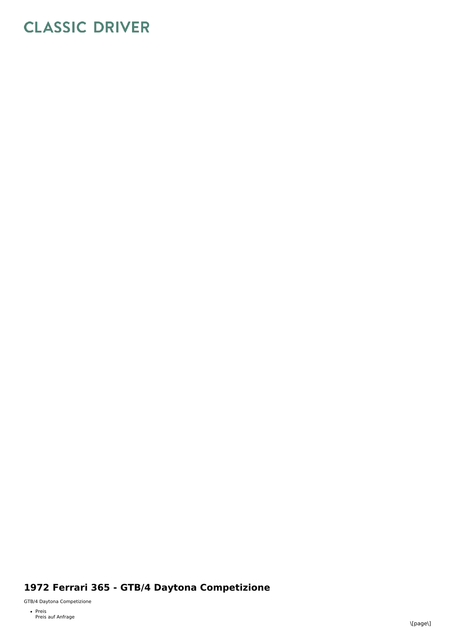# **CLASSIC DRIVER**

## 1972 Ferrari 365 - GTB/4 Daytona Competizione

GTB/4 Daytona Competizione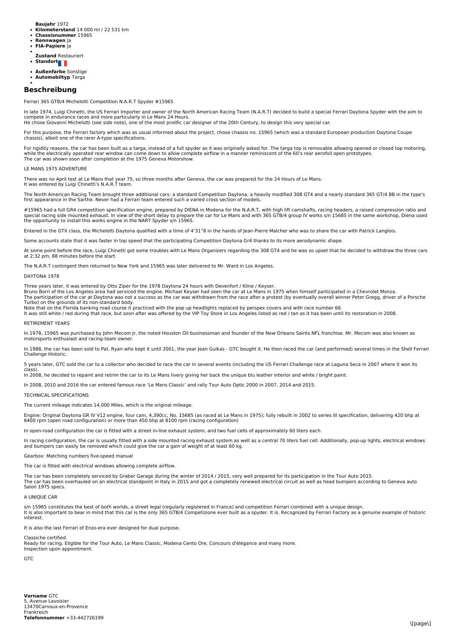**Baujahr** 1972

- **Kilometerstand** 14 000 mi / 22 531 km
- **Chassisnummer** 15965 **Rennwagen** Ja
- **FIA-Papiere** Ja
- **Zustand** Restauriert
- Standort**<sub>d</sub>**
- 
- **Außenfarbe** Sonstige **Automobiltyp** Targa

### **Beschreibung**

Ferrari 365 GTB/4 Michelotti Competition N.A.R.T Spyder #15965

In late 1974, Luigi Chinetti, the US Ferrari Importer and owner of the North American Racing Team (N.A.R.T) decided to build a special Ferrari Daytona Spyder with the aim to compete in endurance races and more particularly in Le Mans 24 Hours.

He chose Giovanni Michelotti (see side note), one of the most prolific car designer of the 20th Century, to design this very special car.

For this purpose, the Ferrari factory which was as usual informed about the project, chose chassis no. 15965 (which was a standard European production Daytona Coupe chassis), albeit one of the rarer A-type specifications.

For rigidity reasons, the car has been built as a targa, instead of a full spyder as it was originally asked for. The targa top is removable allowing opened or closed top motoring, while the electrically operated rear window can come down to allow complete airflow in a manner reminiscent of the 60's rear aerofoil open prototypes.<br>The car was shown soon after completion at the 1975 Geneva Motorshow.

#### LE MANS 1975 ADVENTURE

It was entered by Luigi Chinetti's N.A.R.T team.

There was no April test at Le Mans that year 75, so three months after Geneva, the car was prepared for the 24 Hours of Le Mans.

The North American Racing Team brought three additional cars: a standard Competition Daytona, a heavily modified 308 GT4 and a nearly standard 365 GT/4 BB in the type's first appearance in the Sarthe. Never had a Ferrari team entered such a varied cross section of models

#15965 had a full GR4 competition specification engine, prepared by DIENA in Modena for the N.A.R.T, with high lift camshafts, racing headers, a raised compression ratio and special racing side mounted exhaust. In view of the short delay to prepare the car for Le Mans and with 365 GTB/4 group IV works s/n 15685 in the same workshop, Diena used<br>the opportunity to install this works engine in th

Entered in the GTX class, the Michelotti Daytona qualified with a time of 4'31"8 in the hands of Jean Pierre Malcher who was to share the car with Patrick Langlois.

Some accounts state that it was faster in top speed that the participating Competition Daytona Gr4 thanks to its more aerodynamic shape.

At some point before the race, Luigi Chinetti got some troubles with Le Mans Organizers regarding the 308 GT4 and he was so upset that he decided to withdraw the three cars at 2:32 pm, 88 minutes before the start.

The N.A.R.T contingent then returned to New York and 15965 was later delivered to Mr. Ward in Los Angeles.

#### DAYTONA 1978

Three years later, it was entered by Otto Ziper for the 1978 Daytona 24 hours with Devenfort / Kline / Keyser.<br>Bruno Borri of the Los Angeles area had serviced the engine. Michael Keyser had seen the car at Le Mans in 1975

The participation of the car at Daytona was not a success as the car was withdrawn from the race after a protest (by eventually overall winner Peter Gregg, driver of a Porsche Turbo) on the grounds of its non-standard body.

Note that on the Florida banking road course it practiced with the pop up headlights replaced by perspex covers and with race number 66.<br>It was still white / red during that race, but soon after was offered by the VIP Toy

#### RETIREMENT YEARS

In 1978, 15965 was purchased by John Mecom Jr, the noted Houston Oil businessman and founder of the New Orleans Saints NFL franchise. Mr. Mecom was also known as motorsports enthusiast and racing-team owner.

In 1988, the car has been sold to Pat. Ryan who kept it until 2001, the year Jean Guikas - GTC bought it. He then raced the car (and performed) several times in the Shell Ferrari Challenge Historic.

5 years later, GTC sold the car to a collector who decided to race the car in several events (including the US Ferrari Challenge race at Laguna Seca in 2007 where it won its

class). In 2008, he decided to repaint and retrim the car to its Le Mans livery giving her back the unique blu leather interior and white / bright paint.

In 2008, 2010 and 2016 the car entered famous race 'Le Mans Classic' and rally Tour Auto Optic 2000 in 2007, 2014 and 2015.

#### TECHNICAL SPECIFICATIONS

The current mileage indicates 14,000 Miles, which is the original mileage.

Engine: Original Daytona GR IV V12 engine, four cam, 4,390cc, No. 15685 (as raced at Le Mans in 1975); fully rebuilt in 2002 to series III specification, delivering 420 bhp at 6400 rpm (open road configuration) or more than 450 bhp at 8100 rpm (racing configuration)

In open-road configuration the car is fitted with a street in-line exhaust system, and two fuel cells of approximately 60 liters each.

In racing configuration, the car is usually fitted with a side mounted racing exhaust system as well as a central 70 liters fuel cell. Additionally, pop-up lights, electrical windows and bumpers can easily be removed which could give the car a gain of weight of at least 60 kg.

Gearbox: Matching numbers five-speed manual

The car is fitted with electrical windows allowing complete airflow.

The car has been completely serviced by Graber Garage during the winter of 2014 / 2015, very well prepared for its participation in the Tour Auto 2015.<br>The car has been overhauled on an electrical standpoint in Italy in 20 Salon 1975 specs.

A UNIQUE CAR

s/n 15965 constitutes the best of both worlds, a street legal (regularly registered in France) and competition Ferrari combined with a unique design.<br>It is also important to bear in mind that this car is the only 365 GTB/4 interest.

It is also the last Ferrari of Enzo-era ever designed for dual purpose.

#### Classiche certified.

Ready for racing. Eligible for the Tour Auto, Le Mans Classic, Modena Cento Ore, Concours d'élégance and many more. Inspection upon appointment.

**GTC** 

**Vorname** GTC **Telefonnummer** +33-442726199 5, Avenue Lavoisier 13470Carnoux-en-Provence Frankreich